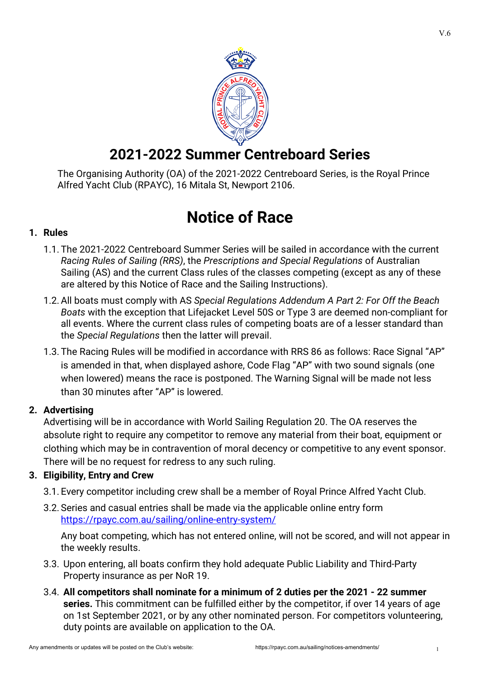

## **2021-2022 Summer Centreboard Series**

The Organising Authority (OA) of the 2021-2022 Centreboard Series, is the Royal Prince Alfred Yacht Club (RPAYC), 16 Mitala St, Newport 2106.

# **Notice of Race**

### **1. Rules**

- 1.1. The 2021-2022 Centreboard Summer Series will be sailed in accordance with the current *Racing Rules of Sailing (RRS)*, the *Prescriptions and Special Regulations* of Australian Sailing (AS) and the current Class rules of the classes competing (except as any of these are altered by this Notice of Race and the Sailing Instructions).
- 1.2.All boats must comply with AS *Special Regulations Addendum A Part 2: For Off the Beach Boats* with the exception that Lifejacket Level 50S or Type 3 are deemed non-compliant for all events. Where the current class rules of competing boats are of a lesser standard than the *Special Regulations* then the latter will prevail.
- 1.3. The Racing Rules will be modified in accordance with RRS 86 as follows: Race Signal "AP" is amended in that, when displayed ashore, Code Flag "AP" with two sound signals (one when lowered) means the race is postponed. The Warning Signal will be made not less than 30 minutes after "AP" is lowered.

## **2. Advertising**

Advertising will be in accordance with World Sailing Regulation 20. The OA reserves the absolute right to require any competitor to remove any material from their boat, equipment or clothing which may be in contravention of moral decency or competitive to any event sponsor. There will be no request for redress to any such ruling.

## **3. Eligibility, Entry and Crew**

- 3.1. Every competitor including crew shall be a member of Royal Prince Alfred Yacht Club.
- 3.2. Series and casual entries shall be made via the applicable online entry form <https://rpayc.com.au/sailing/online-entry-system/>

Any boat competing, which has not entered online, will not be scored, and will not appear in the weekly results.

- 3.3. Upon entering, all boats confirm they hold adequate Public Liability and Third-Party Property insurance as per NoR 19.
- 3.4. **All competitors shall nominate for a minimum of 2 duties per the 2021 - 22 summer series.** This commitment can be fulfilled either by the competitor, if over 14 years of age on 1st September 2021, or by any other nominated person. For competitors volunteering, duty points are available on application to the OA.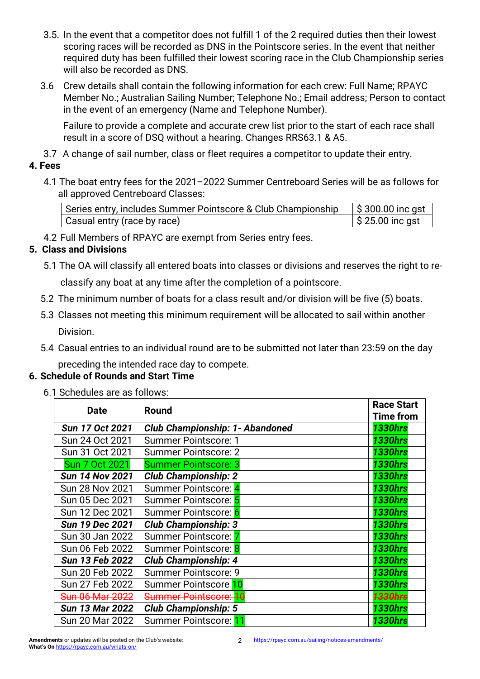- 3.5. In the event that a competitor does not fulfill 1 of the 2 required duties then their lowest scoring races will be recorded as DNS in the Pointscore series. In the event that neither required duty has been fulfilled their lowest scoring race in the Club Championship series will also be recorded as DNS.
- 3.6 Crew details shall contain the following information for each crew: Full Name; RPAYC Member No.; Australian Sailing Number; Telephone No.; Email address; Person to contact in the event of an emergency (Name and Telephone Number).

Failure to provide a complete and accurate crew list prior to the start of each race shall result in a score of DSQ without a hearing. Changes RRS63.1 & A5.

3.7 A change of sail number, class or fleet requires a competitor to update their entry.

### **4. Fees**

4.1 The boat entry fees for the 2021–2022 Summer Centreboard Series will be as follows for all approved Centreboard Classes:

| Series entry, includes Summer Pointscore & Club Championship | $\frac{1}{2}$ \$ 300.00 inc gst |
|--------------------------------------------------------------|---------------------------------|
| Casual entry (race by race)                                  | $\frac{1}{2}$ \$ 25.00 inc gst  |

4.2 Full Members of RPAYC are exempt from Series entry fees.

## **5. Class and Divisions**

5.1 The OA will classify all entered boats into classes or divisions and reserves the right to re-

classify any boat at any time after the completion of a pointscore.

- 5.2 The minimum number of boats for a class result and/or division will be five (5) boats.
- 5.3 Classes not meeting this minimum requirement will be allocated to sail within another Division.
- 5.4 Casual entries to an individual round are to be submitted not later than 23:59 on the day

preceding the intended race day to compete.

## **6. Schedule of Rounds and Start Time**

6.1 Schedules are as follows:

| <b>Date</b>            | <b>Round</b>                           | <b>Race Start</b>  |
|------------------------|----------------------------------------|--------------------|
|                        |                                        | <b>Time from</b>   |
| Sun 17 Oct 2021        | <b>Club Championship: 1- Abandoned</b> | <b>1330hrs</b>     |
| Sun 24 Oct 2021        | <b>Summer Pointscore: 1</b>            | <b>1330hrs</b>     |
| Sun 31 Oct 2021        | <b>Summer Pointscore: 2</b>            | <b>1330hrs</b>     |
| <b>Sun 7 Oct 2021</b>  | <b>Summer Pointscore: 3</b>            | <b>1330hrs</b>     |
| <b>Sun 14 Nov 2021</b> | <b>Club Championship: 2</b>            | <b>1330hrs</b>     |
| <b>Sun 28 Nov 2021</b> | Summer Pointscore: 4                   | <b>1330hrs</b>     |
| Sun 05 Dec 2021        | Summer Pointscore: 5                   | <b>1330hrs</b>     |
| Sun 12 Dec 2021        | Summer Pointscore: 6                   | <b>1330hrs</b>     |
| <b>Sun 19 Dec 2021</b> | <b>Club Championship: 3</b>            | <b>1330hrs</b>     |
| Sun 30 Jan 2022        | Summer Pointscore:                     | <b>1330hrs</b>     |
| Sun 06 Feb 2022        | Summer Pointscore: 8                   | <b>1330hrs</b>     |
| Sun 13 Feb 2022        | <b>Club Championship: 4</b>            | <b>1330hrs</b>     |
| Sun 20 Feb 2022        | <b>Summer Pointscore: 9</b>            | <b>1330hrs</b>     |
| Sun 27 Feb 2022        | Summer Pointscore 10                   | <b>1330hrs</b>     |
| Sun 06 Mar 2022        | Summer Pointscore: 10                  | <del>1330hrs</del> |
| <b>Sun 13 Mar 2022</b> | <b>Club Championship: 5</b>            | <b>1330hrs</b>     |
| Sun 20 Mar 2022        | Summer Pointscore: 11                  | <b>1330hrs</b>     |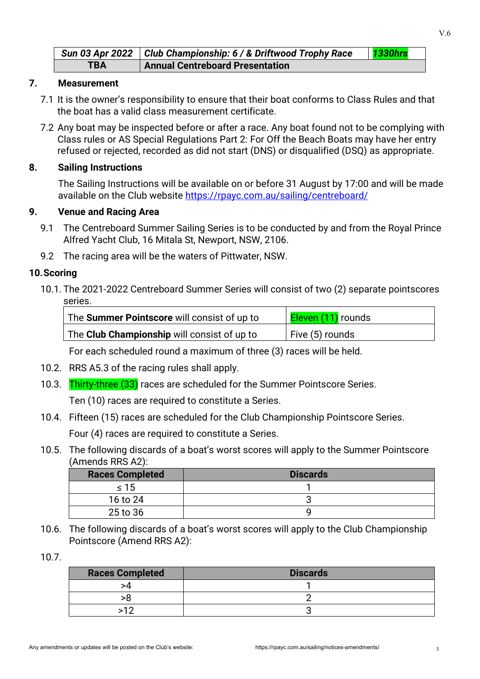|            | Sun 03 Apr 2022   Club Championship: 6 / & Driftwood Trophy Race | 1330hrs |
|------------|------------------------------------------------------------------|---------|
| <b>TBA</b> | <b>Annual Centreboard Presentation</b>                           |         |

#### **7. Measurement**

- 7.1 It is the owner's responsibility to ensure that their boat conforms to Class Rules and that the boat has a valid class measurement certificate.
- 7.2 Any boat may be inspected before or after a race. Any boat found not to be complying with Class rules or AS Special Regulations Part 2: For Off the Beach Boats may have her entry refused or rejected, recorded as did not start (DNS) or disqualified (DSQ) as appropriate.

#### **8. Sailing Instructions**

The Sailing Instructions will be available on or before 31 August by 17:00 and will be made available on the Club website<https://rpayc.com.au/sailing/centreboard/>

#### **9. Venue and Racing Area**

- 9.1 The Centreboard Summer Sailing Series is to be conducted by and from the Royal Prince Alfred Yacht Club, 16 Mitala St, Newport, NSW, 2106.
- 9.2 The racing area will be the waters of Pittwater, NSW.

#### **10.Scoring**

10.1. The 2021-2022 Centreboard Summer Series will consist of two (2) separate pointscores series.

| The <b>Summer Pointscore</b> will consist of up to | <b>Eleven (11)</b> rounds |
|----------------------------------------------------|---------------------------|
| The Club Championship will consist of up to        | $\vert$ Five (5) rounds   |

For each scheduled round a maximum of three (3) races will be held.

- 10.2. RRS A5.3 of the racing rules shall apply.
- 10.3. Thirty-three (33) races are scheduled for the Summer Pointscore Series.

Ten (10) races are required to constitute a Series.

10.4. Fifteen (15) races are scheduled for the Club Championship Pointscore Series.

Four (4) races are required to constitute a Series.

10.5. The following discards of a boat's worst scores will apply to the Summer Pointscore (Amends RRS A2):

| <b>Races Completed</b> | <b>Discards</b> |
|------------------------|-----------------|
| $\leq 15$              |                 |
| 16 to 24               |                 |
| 25 to 36               |                 |

10.6. The following discards of a boat's worst scores will apply to the Club Championship Pointscore (Amend RRS A2):

10.7.

| <b>Races Completed</b> | <b>Discards</b> |
|------------------------|-----------------|
|                        |                 |
|                        |                 |
|                        |                 |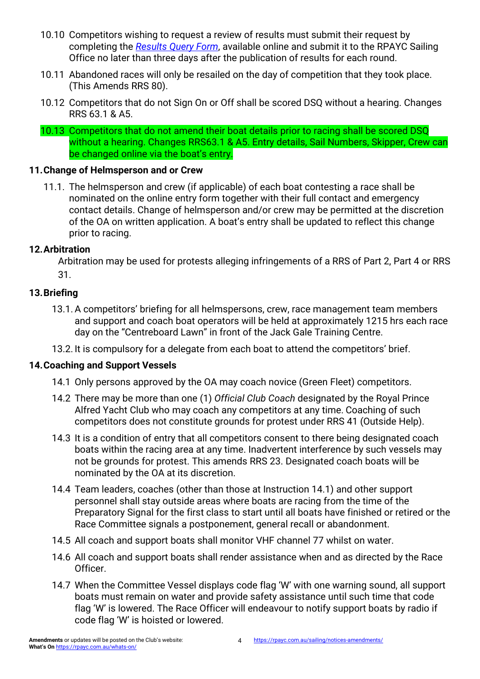- 10.10 Competitors wishing to request a review of results must submit their request by completing the *[Results Query Form](https://rpayc.com.au/sailing/centreboard/)*, available online and submit it to the RPAYC Sailing Office no later than three days after the publication of results for each round.
- 10.11 Abandoned races will only be resailed on the day of competition that they took place. (This Amends RRS 80).
- 10.12 Competitors that do not Sign On or Off shall be scored DSQ without a hearing. Changes RRS 63.1 & A5.
- 10.13 Competitors that do not amend their boat details prior to racing shall be scored DSQ without a hearing. Changes RRS63.1 & A5. Entry details, Sail Numbers, Skipper, Crew can be changed online via the boat's entry.

#### **11.Change of Helmsperson and or Crew**

11.1. The helmsperson and crew (if applicable) of each boat contesting a race shall be nominated on the online entry form together with their full contact and emergency contact details. Change of helmsperson and/or crew may be permitted at the discretion of the OA on written application. A boat's entry shall be updated to reflect this change prior to racing.

#### **12.Arbitration**

Arbitration may be used for protests alleging infringements of a RRS of Part 2, Part 4 or RRS 31.

#### **13.Briefing**

- 13.1.A competitors' briefing for all helmspersons, crew, race management team members and support and coach boat operators will be held at approximately 1215 hrs each race day on the "Centreboard Lawn" in front of the Jack Gale Training Centre.
- 13.2. It is compulsory for a delegate from each boat to attend the competitors' brief.

#### **14.Coaching and Support Vessels**

- 14.1 Only persons approved by the OA may coach novice (Green Fleet) competitors.
- 14.2 There may be more than one (1) *Official Club Coach* designated by the Royal Prince Alfred Yacht Club who may coach any competitors at any time. Coaching of such competitors does not constitute grounds for protest under RRS 41 (Outside Help).
- 14.3 It is a condition of entry that all competitors consent to there being designated coach boats within the racing area at any time. Inadvertent interference by such vessels may not be grounds for protest. This amends RRS 23. Designated coach boats will be nominated by the OA at its discretion.
- 14.4 Team leaders, coaches (other than those at Instruction 14.1) and other support personnel shall stay outside areas where boats are racing from the time of the Preparatory Signal for the first class to start until all boats have finished or retired or the Race Committee signals a postponement, general recall or abandonment.
- 14.5 All coach and support boats shall monitor VHF channel 77 whilst on water.
- 14.6 All coach and support boats shall render assistance when and as directed by the Race Officer.
- 14.7 When the Committee Vessel displays code flag 'W' with one warning sound, all support boats must remain on water and provide safety assistance until such time that code flag 'W' is lowered. The Race Officer will endeavour to notify support boats by radio if code flag 'W' is hoisted or lowered.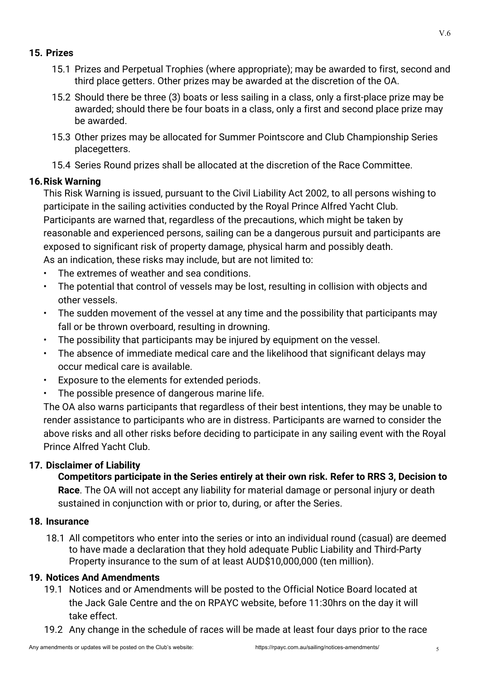#### **15. Prizes**

- 15.1 Prizes and Perpetual Trophies (where appropriate); may be awarded to first, second and third place getters. Other prizes may be awarded at the discretion of the OA.
- 15.2 Should there be three (3) boats or less sailing in a class, only a first-place prize may be awarded; should there be four boats in a class, only a first and second place prize may be awarded.
- 15.3 Other prizes may be allocated for Summer Pointscore and Club Championship Series placegetters.
- 15.4 Series Round prizes shall be allocated at the discretion of the Race Committee.

#### **16.Risk Warning**

This Risk Warning is issued, pursuant to the Civil Liability Act 2002, to all persons wishing to participate in the sailing activities conducted by the Royal Prince Alfred Yacht Club. Participants are warned that, regardless of the precautions, which might be taken by reasonable and experienced persons, sailing can be a dangerous pursuit and participants are exposed to significant risk of property damage, physical harm and possibly death. As an indication, these risks may include, but are not limited to:

- The extremes of weather and sea conditions.
- The potential that control of vessels may be lost, resulting in collision with objects and other vessels.
- The sudden movement of the vessel at any time and the possibility that participants may fall or be thrown overboard, resulting in drowning.
- The possibility that participants may be injured by equipment on the vessel.
- The absence of immediate medical care and the likelihood that significant delays may occur medical care is available.
- Exposure to the elements for extended periods.
- The possible presence of dangerous marine life.

The OA also warns participants that regardless of their best intentions, they may be unable to render assistance to participants who are in distress. Participants are warned to consider the above risks and all other risks before deciding to participate in any sailing event with the Royal Prince Alfred Yacht Club.

#### **17. Disclaimer of Liability**

**Competitors participate in the Series entirely at their own risk. Refer to RRS 3, Decision to Race**. The OA will not accept any liability for material damage or personal injury or death sustained in conjunction with or prior to, during, or after the Series.

#### **18. Insurance**

18.1 All competitors who enter into the series or into an individual round (casual) are deemed to have made a declaration that they hold adequate Public Liability and Third-Party Property insurance to the sum of at least AUD\$10,000,000 (ten million).

#### **19. Notices And Amendments**

- 19.1 Notices and or Amendments will be posted to the Official Notice Board located at the Jack Gale Centre and the on RPAYC website, before 11:30hrs on the day it will take effect.
- 19.2 Any change in the schedule of races will be made at least four days prior to the race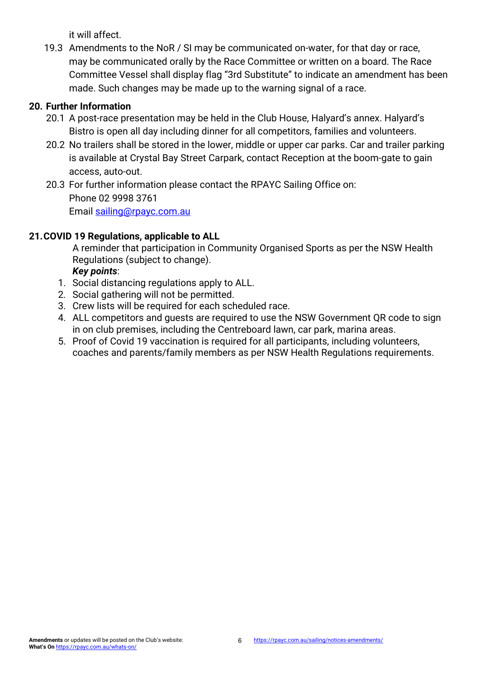it will affect.

19.3 Amendments to the NoR / SI may be communicated on-water, for that day or race, may be communicated orally by the Race Committee or written on a board. The Race Committee Vessel shall display flag "3rd Substitute" to indicate an amendment has been made. Such changes may be made up to the warning signal of a race.

## **20. Further Information**

- 20.1 A post-race presentation may be held in the Club House, Halyard's annex. Halyard's Bistro is open all day including dinner for all competitors, families and volunteers.
- 20.2 No trailers shall be stored in the lower, middle or upper car parks. Car and trailer parking is available at Crystal Bay Street Carpark, contact Reception at the boom-gate to gain access, auto-out.

20.3 For further information please contact the RPAYC Sailing Office on: Phone 02 9998 3761 Email [sailing@rpayc.com.au](mailto:sailing@rpayc.com.au)

## **21.COVID 19 Regulations, applicable to ALL**

A reminder that participation in Community Organised Sports as per the NSW Health Regulations (subject to change).

*Key points*:

- 1. Social distancing regulations apply to ALL.
- 2. Social gathering will not be permitted.
- 3. Crew lists will be required for each scheduled race.
- 4. ALL competitors and guests are required to use the NSW Government QR code to sign in on club premises, including the Centreboard lawn, car park, marina areas.
- 5. Proof of Covid 19 vaccination is required for all participants, including volunteers, coaches and parents/family members as per NSW Health Regulations requirements.